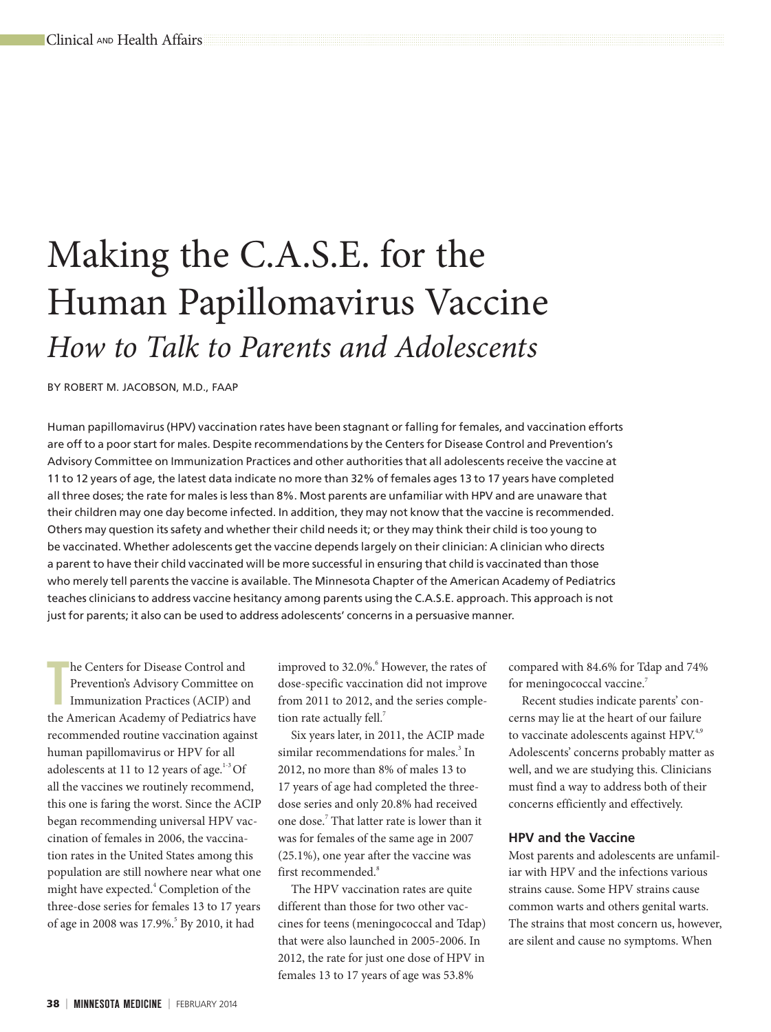# Making the C.A.S.E. for the Human Papillomavirus Vaccine *How to Talk to Parents and Adolescents*

BY ROBERT M. JACOBSON, M.D., FAAP

Human papillomavirus (HPV) vaccination rates have been stagnant or falling for females, and vaccination efforts are off to a poor start for males. Despite recommendations by the Centers for Disease Control and Prevention's Advisory Committee on Immunization Practices and other authorities that all adolescents receive the vaccine at 11 to 12 years of age, the latest data indicate no more than 32% of females ages 13 to 17 years have completed all three doses; the rate for males is less than 8%. Most parents are unfamiliar with HPV and are unaware that their children may one day become infected. In addition, they may not know that the vaccine is recommended. Others may question its safety and whether their child needs it; or they may think their child is too young to be vaccinated. Whether adolescents get the vaccine depends largely on their clinician: A clinician who directs a parent to have their child vaccinated will be more successful in ensuring that child is vaccinated than those who merely tell parents the vaccine is available. The Minnesota Chapter of the American Academy of Pediatrics teaches clinicians to address vaccine hesitancy among parents using the C.A.S.E. approach. This approach is not just for parents; it also can be used to address adolescents' concerns in a persuasive manner.

The Centers for Disease Control and<br>
Prevention's Advisory Committee on<br>
Immunization Practices (ACIP) and<br>
the American Academy of Pediatrics have he Centers for Disease Control and Prevention's Advisory Committee on Immunization Practices (ACIP) and recommended routine vaccination against human papillomavirus or HPV for all adolescents at 11 to 12 years of age. $1-3$  Of all the vaccines we routinely recommend, this one is faring the worst. Since the ACIP began recommending universal HPV vaccination of females in 2006, the vaccination rates in the United States among this population are still nowhere near what one might have expected.<sup>4</sup> Completion of the three-dose series for females 13 to 17 years of age in 2008 was 17.9%.<sup>5</sup> By 2010, it had

improved to 32.0%.<sup>6</sup> However, the rates of dose-specific vaccination did not improve from 2011 to 2012, and the series completion rate actually fell.<sup>7</sup>

Six years later, in 2011, the ACIP made similar recommendations for males.<sup>3</sup> In 2012, no more than 8% of males 13 to 17 years of age had completed the threedose series and only 20.8% had received one dose.<sup>7</sup> That latter rate is lower than it was for females of the same age in 2007 (25.1%), one year after the vaccine was first recommended.<sup>8</sup>

The HPV vaccination rates are quite different than those for two other vaccines for teens (meningococcal and Tdap) that were also launched in 2005-2006. In 2012, the rate for just one dose of HPV in females 13 to 17 years of age was 53.8%

compared with 84.6% for Tdap and 74% for meningococcal vaccine.<sup>7</sup>

Recent studies indicate parents' concerns may lie at the heart of our failure to vaccinate adolescents against HPV.<sup>4,9</sup> Adolescents' concerns probably matter as well, and we are studying this. Clinicians must find a way to address both of their concerns efficiently and effectively.

## **HPV and the Vaccine**

Most parents and adolescents are unfamiliar with HPV and the infections various strains cause. Some HPV strains cause common warts and others genital warts. The strains that most concern us, however, are silent and cause no symptoms. When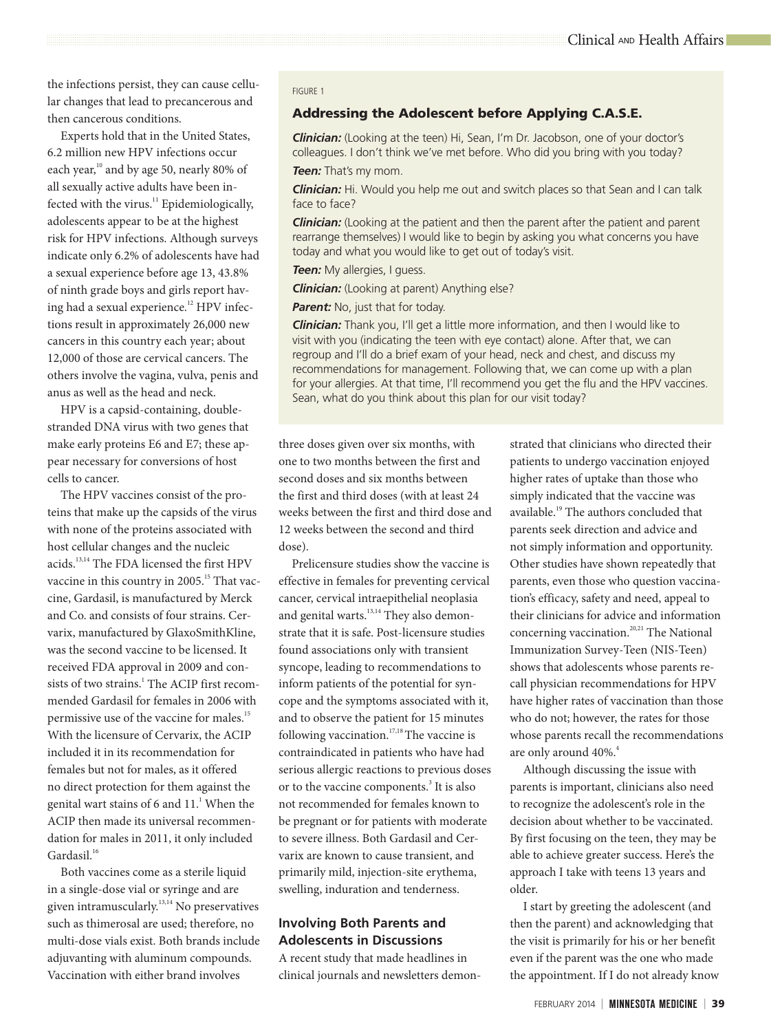the infections persist, they can cause cellular changes that lead to precancerous and then cancerous conditions.

Experts hold that in the United States, 6.2 million new HPV infections occur each year,<sup>10</sup> and by age 50, nearly 80% of all sexually active adults have been infected with the virus.<sup>11</sup> Epidemiologically, adolescents appear to be at the highest risk for HPV infections. Although surveys indicate only 6.2% of adolescents have had a sexual experience before age 13, 43.8% of ninth grade boys and girls report having had a sexual experience.<sup>12</sup> HPV infections result in approximately 26,000 new cancers in this country each year; about 12,000 of those are cervical cancers. The others involve the vagina, vulva, penis and anus as well as the head and neck.

HPV is a capsid-containing, doublestranded DNA virus with two genes that make early proteins E6 and E7; these appear necessary for conversions of host cells to cancer.

The HPV vaccines consist of the proteins that make up the capsids of the virus with none of the proteins associated with host cellular changes and the nucleic acids.13,14 The FDA licensed the first HPV vaccine in this country in 2005.<sup>15</sup> That vaccine, Gardasil, is manufactured by Merck and Co. and consists of four strains. Cervarix, manufactured by GlaxoSmithKline, was the second vaccine to be licensed. It received FDA approval in 2009 and consists of two strains.<sup>1</sup> The ACIP first recommended Gardasil for females in 2006 with permissive use of the vaccine for males.<sup>15</sup> With the licensure of Cervarix, the ACIP included it in its recommendation for females but not for males, as it offered no direct protection for them against the genital wart stains of 6 and  $11<sup>1</sup>$  When the ACIP then made its universal recommendation for males in 2011, it only included Gardasil.<sup>16</sup>

Both vaccines come as a sterile liquid in a single-dose vial or syringe and are given intramuscularly.<sup>13,14</sup> No preservatives such as thimerosal are used; therefore, no multi-dose vials exist. Both brands include adjuvanting with aluminum compounds. Vaccination with either brand involves

#### FIGURE 1

## Addressing the Adolescent before Applying C.A.S.E.

*Clinician:* (Looking at the teen) Hi, Sean, I'm Dr. Jacobson, one of your doctor's colleagues. I don't think we've met before. Who did you bring with you today? *Teen:* That's my mom.

*Clinician:* Hi. Would you help me out and switch places so that Sean and I can talk face to face?

*Clinician:* (Looking at the patient and then the parent after the patient and parent rearrange themselves) I would like to begin by asking you what concerns you have today and what you would like to get out of today's visit.

**Teen:** My allergies, I guess.

*Clinician:* (Looking at parent) Anything else?

**Parent:** No, just that for today.

*Clinician:* Thank you, I'll get a little more information, and then I would like to visit with you (indicating the teen with eye contact) alone. After that, we can regroup and I'll do a brief exam of your head, neck and chest, and discuss my recommendations for management. Following that, we can come up with a plan for your allergies. At that time, I'll recommend you get the flu and the HPV vaccines. Sean, what do you think about this plan for our visit today?

## three doses given over six months, with one to two months between the first and second doses and six months between the first and third doses (with at least 24 weeks between the first and third dose and 12 weeks between the second and third dose).

Prelicensure studies show the vaccine is effective in females for preventing cervical cancer, cervical intraepithelial neoplasia and genital warts.<sup>13,14</sup> They also demonstrate that it is safe. Post-licensure studies found associations only with transient syncope, leading to recommendations to inform patients of the potential for syncope and the symptoms associated with it, and to observe the patient for 15 minutes following vaccination.<sup>17,18</sup> The vaccine is contraindicated in patients who have had serious allergic reactions to previous doses or to the vaccine components.<sup>3</sup> It is also not recommended for females known to be pregnant or for patients with moderate to severe illness. Both Gardasil and Cervarix are known to cause transient, and primarily mild, injection-site erythema, swelling, induration and tenderness.

## **Involving Both Parents and Adolescents in Discussions**

A recent study that made headlines in clinical journals and newsletters demon-

strated that clinicians who directed their patients to undergo vaccination enjoyed higher rates of uptake than those who simply indicated that the vaccine was available.19 The authors concluded that parents seek direction and advice and not simply information and opportunity. Other studies have shown repeatedly that parents, even those who question vaccination's efficacy, safety and need, appeal to their clinicians for advice and information concerning vaccination.<sup>20,21</sup> The National Immunization Survey-Teen (NIS-Teen) shows that adolescents whose parents recall physician recommendations for HPV have higher rates of vaccination than those who do not; however, the rates for those whose parents recall the recommendations are only around 40%.<sup>4</sup>

Although discussing the issue with parents is important, clinicians also need to recognize the adolescent's role in the decision about whether to be vaccinated. By first focusing on the teen, they may be able to achieve greater success. Here's the approach I take with teens 13 years and older.

I start by greeting the adolescent (and then the parent) and acknowledging that the visit is primarily for his or her benefit even if the parent was the one who made the appointment. If I do not already know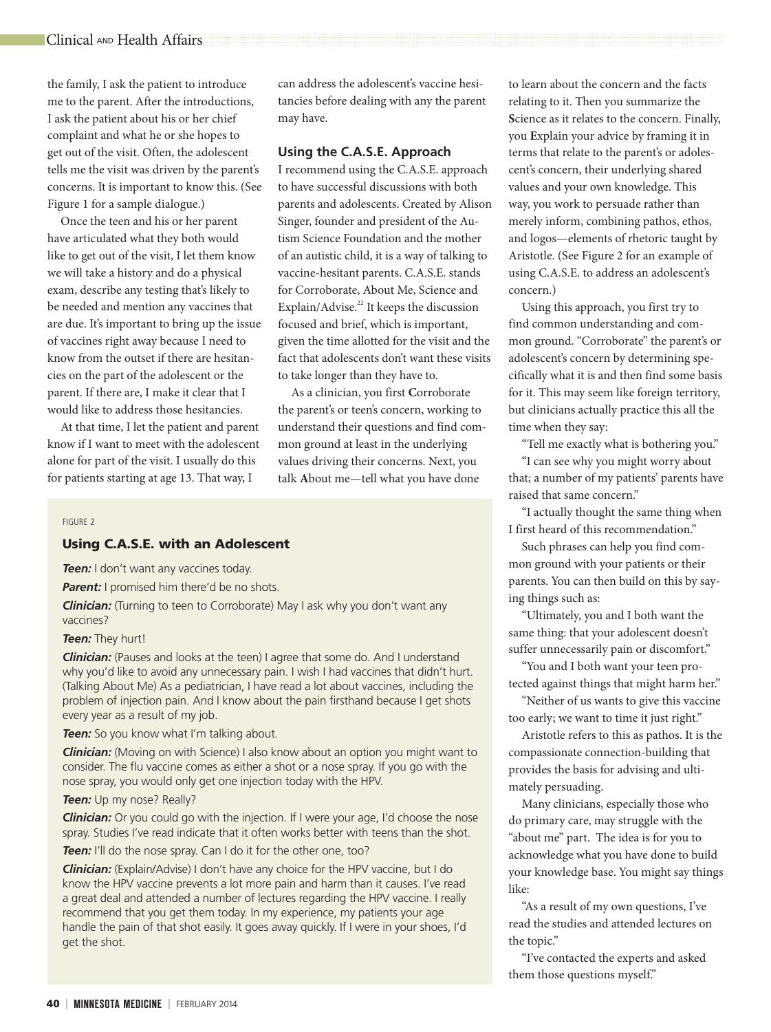the family, I ask the patient to introduce me to the parent. After the introductions, I ask the patient about his or her chief complaint and what he or she hopes to get out of the visit. Often, the adolescent tells me the visit was driven by the parent's concerns. It is important to know this. (See Figure 1 for a sample dialogue.)

Once the teen and his or her parent have articulated what they both would like to get out of the visit, I let them know we will take a history and do a physical exam, describe any testing that's likely to be needed and mention any vaccines that are due. It's important to bring up the issue of vaccines right away because I need to know from the outset if there are hesitancies on the part of the adolescent or the parent. If there are, I make it clear that I would like to address those hesitancies.

At that time, I let the patient and parent know if I want to meet with the adolescent alone for part of the visit. I usually do this for patients starting at age 13. That way, I

can address the adolescent's vaccine hesitancies before dealing with any the parent may have.

## **Using the C.A.S.E. Approach**

I recommend using the C.A.S.E. approach to have successful discussions with both parents and adolescents. Created by Alison Singer, founder and president of the Autism Science Foundation and the mother of an autistic child, it is a way of talking to vaccine-hesitant parents. C.A.S.E. stands for Corroborate, About Me, Science and Explain/Advise.<sup>22</sup> It keeps the discussion focused and brief, which is important, given the time allotted for the visit and the fact that adolescents don't want these visits to take longer than they have to.

As a clinician, you first **C**orroborate the parent's or teen's concern, working to understand their questions and find common ground at least in the underlying values driving their concerns. Next, you talk **A**bout me—tell what you have done

#### FIGURE 2

## Using C.A.S.E. with an Adolescent

**Teen:** I don't want any vaccines today.

**Parent:** I promised him there'd be no shots.

**Clinician:** (Turning to teen to Corroborate) May I ask why you don't want any vaccines?

#### *Teen:* They hurt!

*Clinician:* (Pauses and looks at the teen) I agree that some do. And I understand why you'd like to avoid any unnecessary pain. I wish I had vaccines that didn't hurt. (Talking About Me) As a pediatrician, I have read a lot about vaccines, including the problem of injection pain. And I know about the pain firsthand because I get shots every year as a result of my job.

**Teen:** So you know what I'm talking about.

*Clinician:* (Moving on with Science) I also know about an option you might want to consider. The flu vaccine comes as either a shot or a nose spray. If you go with the nose spray, you would only get one injection today with the HPV.

**Teen:** Up my nose? Really?

**Clinician:** Or you could go with the injection. If I were your age, I'd choose the nose spray. Studies I've read indicate that it often works better with teens than the shot.

**Teen:** I'll do the nose spray. Can I do it for the other one, too?

*Clinician:* (Explain/Advise) I don't have any choice for the HPV vaccine, but I do know the HPV vaccine prevents a lot more pain and harm than it causes. I've read a great deal and attended a number of lectures regarding the HPV vaccine. I really recommend that you get them today. In my experience, my patients your age handle the pain of that shot easily. It goes away quickly. If I were in your shoes, I'd get the shot.

to learn about the concern and the facts relating to it. Then you summarize the **S**cience as it relates to the concern. Finally, you **E**xplain your advice by framing it in terms that relate to the parent's or adolescent's concern, their underlying shared values and your own knowledge. This way, you work to persuade rather than merely inform, combining pathos, ethos, and logos—elements of rhetoric taught by Aristotle. (See Figure 2 for an example of using C.A.S.E. to address an adolescent's concern.)

Using this approach, you first try to find common understanding and common ground. "Corroborate" the parent's or adolescent's concern by determining specifically what it is and then find some basis for it. This may seem like foreign territory, but clinicians actually practice this all the time when they say:

"Tell me exactly what is bothering you."

"I can see why you might worry about that; a number of my patients' parents have raised that same concern."

"I actually thought the same thing when I first heard of this recommendation."

Such phrases can help you find common ground with your patients or their parents. You can then build on this by saying things such as:

"Ultimately, you and I both want the same thing: that your adolescent doesn't suffer unnecessarily pain or discomfort."

"You and I both want your teen protected against things that might harm her."

"Neither of us wants to give this vaccine too early; we want to time it just right."

Aristotle refers to this as pathos. It is the compassionate connection-building that provides the basis for advising and ultimately persuading.

Many clinicians, especially those who do primary care, may struggle with the "about me" part. The idea is for you to acknowledge what you have done to build your knowledge base. You might say things like:

"As a result of my own questions, I've read the studies and attended lectures on the topic."

"I've contacted the experts and asked them those questions myself."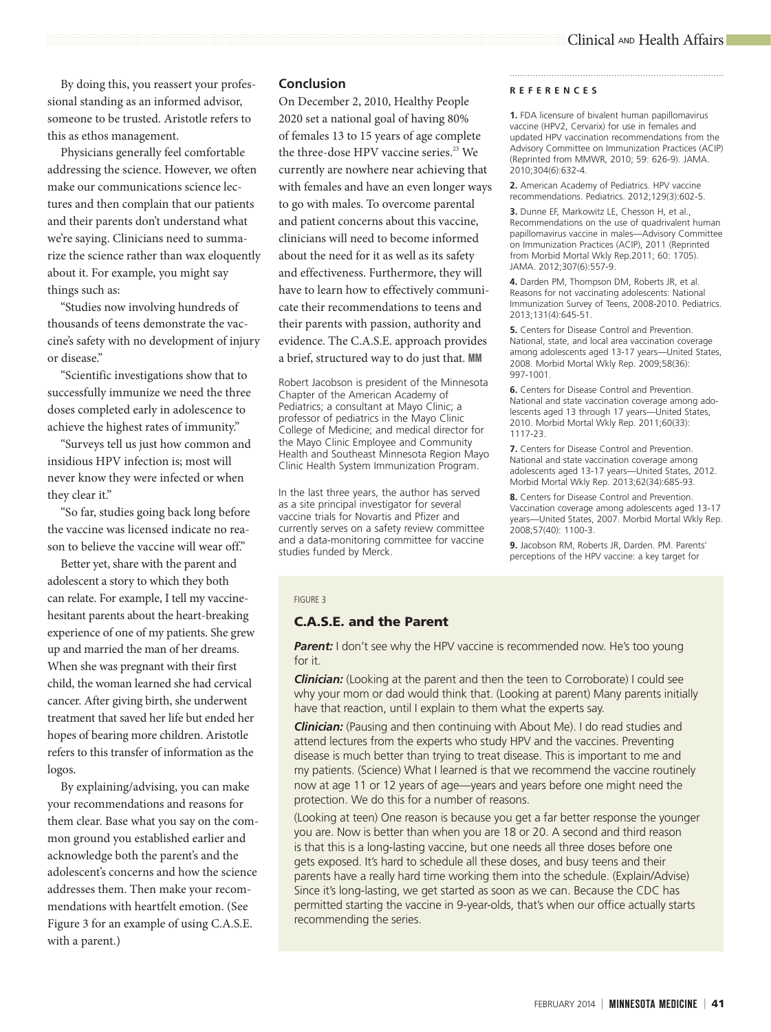By doing this, you reassert your professional standing as an informed advisor, someone to be trusted. Aristotle refers to this as ethos management.

Physicians generally feel comfortable addressing the science. However, we often make our communications science lectures and then complain that our patients and their parents don't understand what we're saying. Clinicians need to summarize the science rather than wax eloquently about it. For example, you might say things such as:

"Studies now involving hundreds of thousands of teens demonstrate the vaccine's safety with no development of injury or disease."

"Scientific investigations show that to successfully immunize we need the three doses completed early in adolescence to achieve the highest rates of immunity."

"Surveys tell us just how common and insidious HPV infection is; most will never know they were infected or when they clear it."

"So far, studies going back long before the vaccine was licensed indicate no reason to believe the vaccine will wear off."

Better yet, share with the parent and adolescent a story to which they both can relate. For example, I tell my vaccinehesitant parents about the heart-breaking experience of one of my patients. She grew up and married the man of her dreams. When she was pregnant with their first child, the woman learned she had cervical cancer. After giving birth, she underwent treatment that saved her life but ended her hopes of bearing more children. Aristotle refers to this transfer of information as the logos.

By explaining/advising, you can make your recommendations and reasons for them clear. Base what you say on the common ground you established earlier and acknowledge both the parent's and the adolescent's concerns and how the science addresses them. Then make your recommendations with heartfelt emotion. (See Figure 3 for an example of using C.A.S.E. with a parent.)

## **Conclusion**

On December 2, 2010, Healthy People 2020 set a national goal of having 80% of females 13 to 15 years of age complete the three-dose HPV vaccine series.<sup>23</sup> We currently are nowhere near achieving that with females and have an even longer ways to go with males. To overcome parental and patient concerns about this vaccine, clinicians will need to become informed about the need for it as well as its safety and effectiveness. Furthermore, they will have to learn how to effectively communicate their recommendations to teens and their parents with passion, authority and evidence. The C.A.S.E. approach provides a brief, structured way to do just that. MM

Robert Jacobson is president of the Minnesota Chapter of the American Academy of Pediatrics; a consultant at Mayo Clinic; a professor of pediatrics in the Mayo Clinic College of Medicine; and medical director for the Mayo Clinic Employee and Community Health and Southeast Minnesota Region Mayo Clinic Health System Immunization Program.

In the last three years, the author has served as a site principal investigator for several vaccine trials for Novartis and Pfizer and currently serves on a safety review committee and a data-monitoring committee for vaccine studies funded by Merck.

#### **REFERENCES**

**1.** FDA licensure of bivalent human papillomavirus vaccine (HPV2, Cervarix) for use in females and updated HPV vaccination recommendations from the Advisory Committee on Immunization Practices (ACIP) (Reprinted from MMWR, 2010; 59: 626-9). JAMA. 2010;304(6):632-4.

**2.** American Academy of Pediatrics. HPV vaccine recommendations. Pediatrics. 2012;129(3):602-5.

**3.** Dunne EF, Markowitz LE, Chesson H, et al., Recommendations on the use of quadrivalent human papillomavirus vaccine in males—Advisory Committee on Immunization Practices (ACIP), 2011 (Reprinted from Morbid Mortal Wkly Rep.2011; 60: 1705). JAMA. 2012;307(6):557-9.

**4.** Darden PM, Thompson DM, Roberts JR, et al. Reasons for not vaccinating adolescents: National Immunization Survey of Teens, 2008-2010. Pediatrics. 2013;131(4):645-51.

**5.** Centers for Disease Control and Prevention. National, state, and local area vaccination coverage among adolescents aged 13-17 years—United States, 2008. Morbid Mortal Wkly Rep. 2009;58(36): 997-1001.

**6.** Centers for Disease Control and Prevention. National and state vaccination coverage among adolescents aged 13 through 17 years—United States, 2010. Morbid Mortal Wkly Rep. 2011;60(33): 1117-23.

**7.** Centers for Disease Control and Prevention. National and state vaccination coverage among adolescents aged 13-17 years—United States, 2012. Morbid Mortal Wkly Rep. 2013;62(34):685-93.

**8.** Centers for Disease Control and Prevention. Vaccination coverage among adolescents aged 13-17 years—United States, 2007. Morbid Mortal Wkly Rep. 2008;57(40): 1100-3.

**9.** Jacobson RM, Roberts JR, Darden. PM. Parents' perceptions of the HPV vaccine: a key target for

#### FIGURE 3

## C.A.S.E. and the Parent

**Parent:** I don't see why the HPV vaccine is recommended now. He's too young for it.

*Clinician:* (Looking at the parent and then the teen to Corroborate) I could see why your mom or dad would think that. (Looking at parent) Many parents initially have that reaction, until I explain to them what the experts say.

*Clinician:* (Pausing and then continuing with About Me). I do read studies and attend lectures from the experts who study HPV and the vaccines. Preventing disease is much better than trying to treat disease. This is important to me and my patients. (Science) What I learned is that we recommend the vaccine routinely now at age 11 or 12 years of age—years and years before one might need the protection. We do this for a number of reasons.

(Looking at teen) One reason is because you get a far better response the younger you are. Now is better than when you are 18 or 20. A second and third reason is that this is a long-lasting vaccine, but one needs all three doses before one gets exposed. It's hard to schedule all these doses, and busy teens and their parents have a really hard time working them into the schedule. (Explain/Advise) Since it's long-lasting, we get started as soon as we can. Because the CDC has permitted starting the vaccine in 9-year-olds, that's when our office actually starts recommending the series.